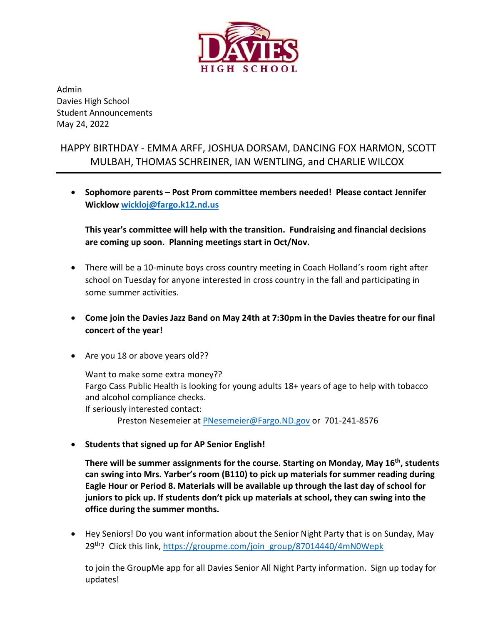

Admin Davies High School Student Announcements May 24, 2022

## HAPPY BIRTHDAY - EMMA ARFF, JOSHUA DORSAM, DANCING FOX HARMON, SCOTT MULBAH, THOMAS SCHREINER, IAN WENTLING, and CHARLIE WILCOX

• **Sophomore parents – Post Prom committee members needed! Please contact Jennifer Wicklo[w wickloj@fargo.k12.nd.us](mailto:wickloj@fargo.k12.nd.us)**

**This year's committee will help with the transition. Fundraising and financial decisions are coming up soon. Planning meetings start in Oct/Nov.**

- There will be a 10-minute boys cross country meeting in Coach Holland's room right after school on Tuesday for anyone interested in cross country in the fall and participating in some summer activities.
- **Come join the Davies Jazz Band on May 24th at 7:30pm in the Davies theatre for our final concert of the year!**
- Are you 18 or above years old??

Want to make some extra money?? Fargo Cass Public Health is looking for young adults 18+ years of age to help with tobacco and alcohol compliance checks. If seriously interested contact:

Preston Nesemeier at [PNesemeier@Fargo.ND.gov](mailto:PNesemeier@Fargo.ND.gov) or 701-241-8576

• **Students that signed up for AP Senior English!**

**There will be summer assignments for the course. Starting on Monday, May 16th, students can swing into Mrs. Yarber's room (B110) to pick up materials for summer reading during Eagle Hour or Period 8. Materials will be available up through the last day of school for juniors to pick up. If students don't pick up materials at school, they can swing into the office during the summer months.** 

• Hey Seniors! Do you want information about the Senior Night Party that is on Sunday, May 29<sup>th</sup>? Click this link, [https://groupme.com/join\\_group/87014440/4mN0Wepk](https://groupme.com/join_group/87014440/4mN0Wepk)

to join the GroupMe app for all Davies Senior All Night Party information. Sign up today for updates!